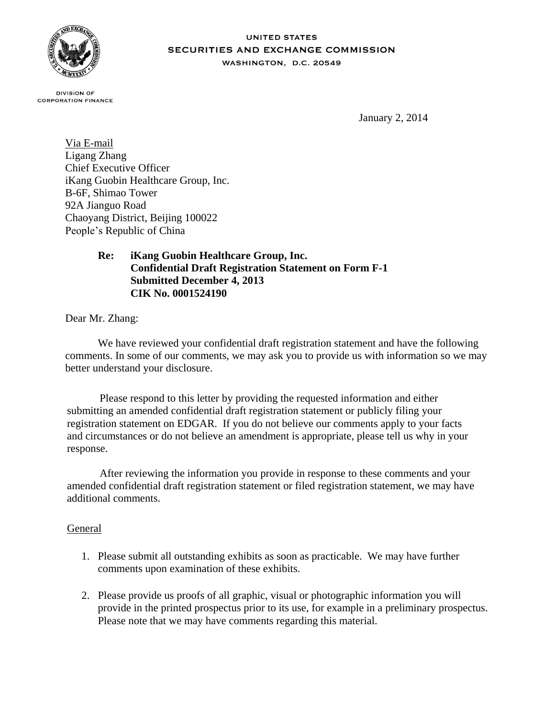

#### **UNITED STATES SECURITIES AND EXCHANGE COMMISSION** WASHINGTON, D.C. 20549

**DIVISION OF CORPORATION FINANCE** 

January 2, 2014

Via E-mail Ligang Zhang Chief Executive Officer iKang Guobin Healthcare Group, Inc. B-6F, Shimao Tower 92A Jianguo Road Chaoyang District, Beijing 100022 People's Republic of China

# **Re: iKang Guobin Healthcare Group, Inc. Confidential Draft Registration Statement on Form F-1 Submitted December 4, 2013 CIK No. 0001524190**

Dear Mr. Zhang:

We have reviewed your confidential draft registration statement and have the following comments. In some of our comments, we may ask you to provide us with information so we may better understand your disclosure.

Please respond to this letter by providing the requested information and either submitting an amended confidential draft registration statement or publicly filing your registration statement on EDGAR. If you do not believe our comments apply to your facts and circumstances or do not believe an amendment is appropriate, please tell us why in your response.

After reviewing the information you provide in response to these comments and your amended confidential draft registration statement or filed registration statement, we may have additional comments.

## General

- 1. Please submit all outstanding exhibits as soon as practicable. We may have further comments upon examination of these exhibits.
- 2. Please provide us proofs of all graphic, visual or photographic information you will provide in the printed prospectus prior to its use, for example in a preliminary prospectus. Please note that we may have comments regarding this material.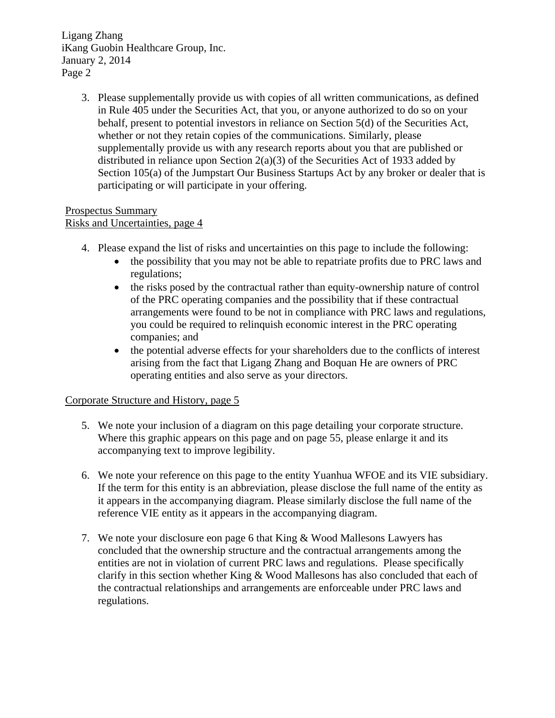> 3. Please supplementally provide us with copies of all written communications, as defined in Rule 405 under the Securities Act, that you, or anyone authorized to do so on your behalf, present to potential investors in reliance on Section 5(d) of the Securities Act, whether or not they retain copies of the communications. Similarly, please supplementally provide us with any research reports about you that are published or distributed in reliance upon Section  $2(a)(3)$  of the Securities Act of 1933 added by Section 105(a) of the Jumpstart Our Business Startups Act by any broker or dealer that is participating or will participate in your offering.

#### Prospectus Summary Risks and Uncertainties, page 4

- 4. Please expand the list of risks and uncertainties on this page to include the following:
	- the possibility that you may not be able to repatriate profits due to PRC laws and regulations;
	- the risks posed by the contractual rather than equity-ownership nature of control of the PRC operating companies and the possibility that if these contractual arrangements were found to be not in compliance with PRC laws and regulations, you could be required to relinquish economic interest in the PRC operating companies; and
	- the potential adverse effects for your shareholders due to the conflicts of interest arising from the fact that Ligang Zhang and Boquan He are owners of PRC operating entities and also serve as your directors.

## Corporate Structure and History, page 5

- 5. We note your inclusion of a diagram on this page detailing your corporate structure. Where this graphic appears on this page and on page 55, please enlarge it and its accompanying text to improve legibility.
- 6. We note your reference on this page to the entity Yuanhua WFOE and its VIE subsidiary. If the term for this entity is an abbreviation, please disclose the full name of the entity as it appears in the accompanying diagram. Please similarly disclose the full name of the reference VIE entity as it appears in the accompanying diagram.
- 7. We note your disclosure eon page 6 that King & Wood Mallesons Lawyers has concluded that the ownership structure and the contractual arrangements among the entities are not in violation of current PRC laws and regulations. Please specifically clarify in this section whether King & Wood Mallesons has also concluded that each of the contractual relationships and arrangements are enforceable under PRC laws and regulations.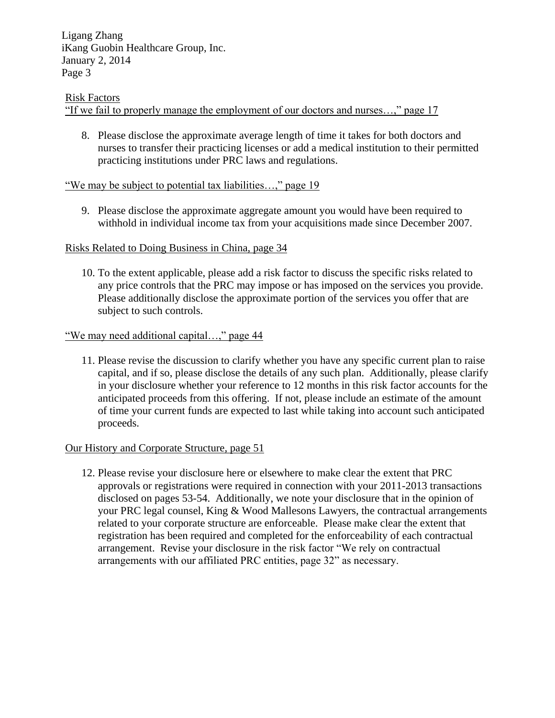#### Risk Factors

"If we fail to properly manage the employment of our doctors and nurses…," page 17

8. Please disclose the approximate average length of time it takes for both doctors and nurses to transfer their practicing licenses or add a medical institution to their permitted practicing institutions under PRC laws and regulations.

### "We may be subject to potential tax liabilities…," page 19

9. Please disclose the approximate aggregate amount you would have been required to withhold in individual income tax from your acquisitions made since December 2007.

#### Risks Related to Doing Business in China, page 34

10. To the extent applicable, please add a risk factor to discuss the specific risks related to any price controls that the PRC may impose or has imposed on the services you provide. Please additionally disclose the approximate portion of the services you offer that are subject to such controls.

#### "We may need additional capital…," page 44

11. Please revise the discussion to clarify whether you have any specific current plan to raise capital, and if so, please disclose the details of any such plan. Additionally, please clarify in your disclosure whether your reference to 12 months in this risk factor accounts for the anticipated proceeds from this offering. If not, please include an estimate of the amount of time your current funds are expected to last while taking into account such anticipated proceeds.

#### Our History and Corporate Structure, page 51

12. Please revise your disclosure here or elsewhere to make clear the extent that PRC approvals or registrations were required in connection with your 2011-2013 transactions disclosed on pages 53-54. Additionally, we note your disclosure that in the opinion of your PRC legal counsel, King & Wood Mallesons Lawyers, the contractual arrangements related to your corporate structure are enforceable. Please make clear the extent that registration has been required and completed for the enforceability of each contractual arrangement. Revise your disclosure in the risk factor "We rely on contractual arrangements with our affiliated PRC entities, page 32" as necessary.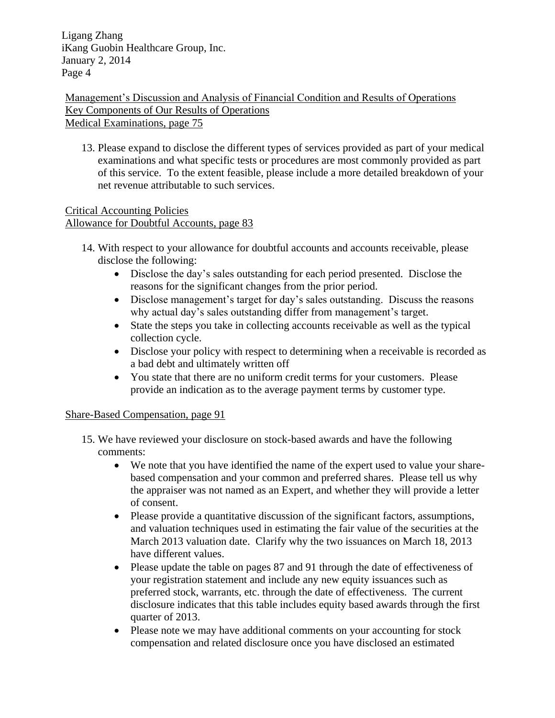Management's Discussion and Analysis of Financial Condition and Results of Operations Key Components of Our Results of Operations Medical Examinations, page 75

13. Please expand to disclose the different types of services provided as part of your medical examinations and what specific tests or procedures are most commonly provided as part of this service. To the extent feasible, please include a more detailed breakdown of your net revenue attributable to such services.

Critical Accounting Policies Allowance for Doubtful Accounts, page 83

- 14. With respect to your allowance for doubtful accounts and accounts receivable, please disclose the following:
	- Disclose the day's sales outstanding for each period presented. Disclose the reasons for the significant changes from the prior period.
	- Disclose management's target for day's sales outstanding. Discuss the reasons why actual day's sales outstanding differ from management's target.
	- State the steps you take in collecting accounts receivable as well as the typical collection cycle.
	- Disclose your policy with respect to determining when a receivable is recorded as a bad debt and ultimately written off
	- You state that there are no uniform credit terms for your customers. Please provide an indication as to the average payment terms by customer type.

## Share-Based Compensation, page 91

- 15. We have reviewed your disclosure on stock-based awards and have the following comments:
	- We note that you have identified the name of the expert used to value your sharebased compensation and your common and preferred shares. Please tell us why the appraiser was not named as an Expert, and whether they will provide a letter of consent.
	- Please provide a quantitative discussion of the significant factors, assumptions, and valuation techniques used in estimating the fair value of the securities at the March 2013 valuation date. Clarify why the two issuances on March 18, 2013 have different values.
	- Please update the table on pages 87 and 91 through the date of effectiveness of your registration statement and include any new equity issuances such as preferred stock, warrants, etc. through the date of effectiveness. The current disclosure indicates that this table includes equity based awards through the first quarter of 2013.
	- Please note we may have additional comments on your accounting for stock compensation and related disclosure once you have disclosed an estimated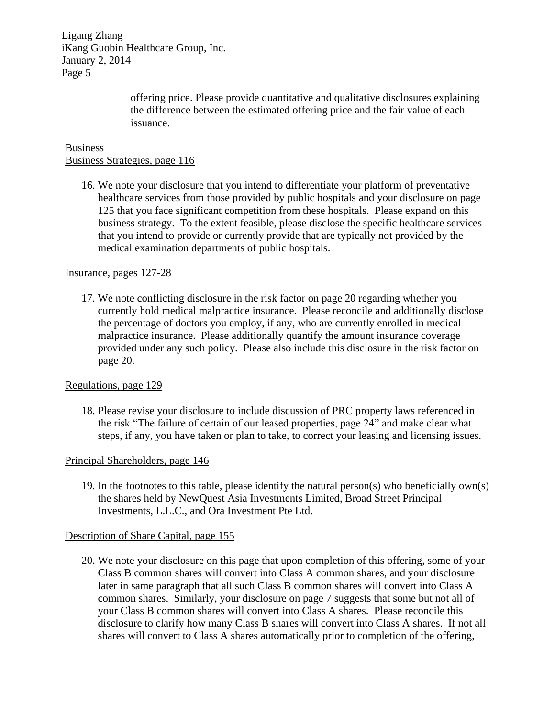> offering price. Please provide quantitative and qualitative disclosures explaining the difference between the estimated offering price and the fair value of each issuance.

## Business Business Strategies, page 116

16. We note your disclosure that you intend to differentiate your platform of preventative healthcare services from those provided by public hospitals and your disclosure on page 125 that you face significant competition from these hospitals. Please expand on this business strategy. To the extent feasible, please disclose the specific healthcare services that you intend to provide or currently provide that are typically not provided by the medical examination departments of public hospitals.

#### Insurance, pages 127-28

17. We note conflicting disclosure in the risk factor on page 20 regarding whether you currently hold medical malpractice insurance. Please reconcile and additionally disclose the percentage of doctors you employ, if any, who are currently enrolled in medical malpractice insurance. Please additionally quantify the amount insurance coverage provided under any such policy. Please also include this disclosure in the risk factor on page 20.

#### Regulations, page 129

18. Please revise your disclosure to include discussion of PRC property laws referenced in the risk "The failure of certain of our leased properties, page 24" and make clear what steps, if any, you have taken or plan to take, to correct your leasing and licensing issues.

#### Principal Shareholders, page 146

19. In the footnotes to this table, please identify the natural person(s) who beneficially own(s) the shares held by NewQuest Asia Investments Limited, Broad Street Principal Investments, L.L.C., and Ora Investment Pte Ltd.

#### Description of Share Capital, page 155

20. We note your disclosure on this page that upon completion of this offering, some of your Class B common shares will convert into Class A common shares, and your disclosure later in same paragraph that all such Class B common shares will convert into Class A common shares. Similarly, your disclosure on page 7 suggests that some but not all of your Class B common shares will convert into Class A shares. Please reconcile this disclosure to clarify how many Class B shares will convert into Class A shares. If not all shares will convert to Class A shares automatically prior to completion of the offering,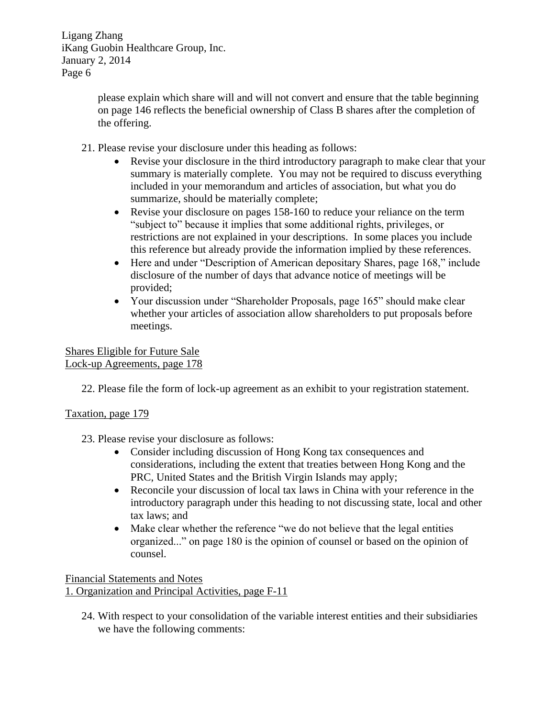> please explain which share will and will not convert and ensure that the table beginning on page 146 reflects the beneficial ownership of Class B shares after the completion of the offering.

- 21. Please revise your disclosure under this heading as follows:
	- Revise your disclosure in the third introductory paragraph to make clear that your summary is materially complete. You may not be required to discuss everything included in your memorandum and articles of association, but what you do summarize, should be materially complete;
	- Revise your disclosure on pages 158-160 to reduce your reliance on the term "subject to" because it implies that some additional rights, privileges, or restrictions are not explained in your descriptions. In some places you include this reference but already provide the information implied by these references.
	- Here and under "Description of American depositary Shares, page 168," include disclosure of the number of days that advance notice of meetings will be provided;
	- Your discussion under "Shareholder Proposals, page 165" should make clear whether your articles of association allow shareholders to put proposals before meetings.

## Shares Eligible for Future Sale Lock-up Agreements, page 178

22. Please file the form of lock-up agreement as an exhibit to your registration statement.

# Taxation, page 179

- 23. Please revise your disclosure as follows:
	- Consider including discussion of Hong Kong tax consequences and considerations, including the extent that treaties between Hong Kong and the PRC, United States and the British Virgin Islands may apply;
	- Reconcile your discussion of local tax laws in China with your reference in the introductory paragraph under this heading to not discussing state, local and other tax laws; and
	- Make clear whether the reference "we do not believe that the legal entities organized..." on page 180 is the opinion of counsel or based on the opinion of counsel.

## Financial Statements and Notes 1. Organization and Principal Activities, page F-11

24. With respect to your consolidation of the variable interest entities and their subsidiaries we have the following comments: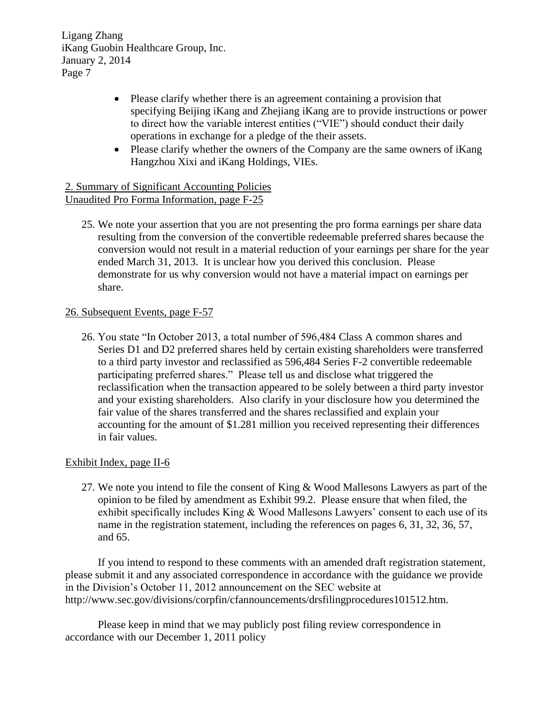- Please clarify whether there is an agreement containing a provision that specifying Beijing iKang and Zhejiang iKang are to provide instructions or power to direct how the variable interest entities ("VIE") should conduct their daily operations in exchange for a pledge of the their assets.
- Please clarify whether the owners of the Company are the same owners of iKang Hangzhou Xixi and iKang Holdings, VIEs.

## 2. Summary of Significant Accounting Policies Unaudited Pro Forma Information, page F-25

25. We note your assertion that you are not presenting the pro forma earnings per share data resulting from the conversion of the convertible redeemable preferred shares because the conversion would not result in a material reduction of your earnings per share for the year ended March 31, 2013. It is unclear how you derived this conclusion. Please demonstrate for us why conversion would not have a material impact on earnings per share.

## 26. Subsequent Events, page F-57

26. You state "In October 2013, a total number of 596,484 Class A common shares and Series D1 and D2 preferred shares held by certain existing shareholders were transferred to a third party investor and reclassified as 596,484 Series F-2 convertible redeemable participating preferred shares." Please tell us and disclose what triggered the reclassification when the transaction appeared to be solely between a third party investor and your existing shareholders. Also clarify in your disclosure how you determined the fair value of the shares transferred and the shares reclassified and explain your accounting for the amount of \$1.281 million you received representing their differences in fair values.

## Exhibit Index, page II-6

27. We note you intend to file the consent of King & Wood Mallesons Lawyers as part of the opinion to be filed by amendment as Exhibit 99.2. Please ensure that when filed, the exhibit specifically includes King  $& Wood$  Mallesons Lawyers' consent to each use of its name in the registration statement, including the references on pages 6, 31, 32, 36, 57, and 65.

If you intend to respond to these comments with an amended draft registration statement, please submit it and any associated correspondence in accordance with the guidance we provide in the Division's October 11, 2012 announcement on the SEC website at http://www.sec.gov/divisions/corpfin/cfannouncements/drsfilingprocedures101512.htm.

Please keep in mind that we may publicly post filing review correspondence in accordance with our December 1, 2011 policy